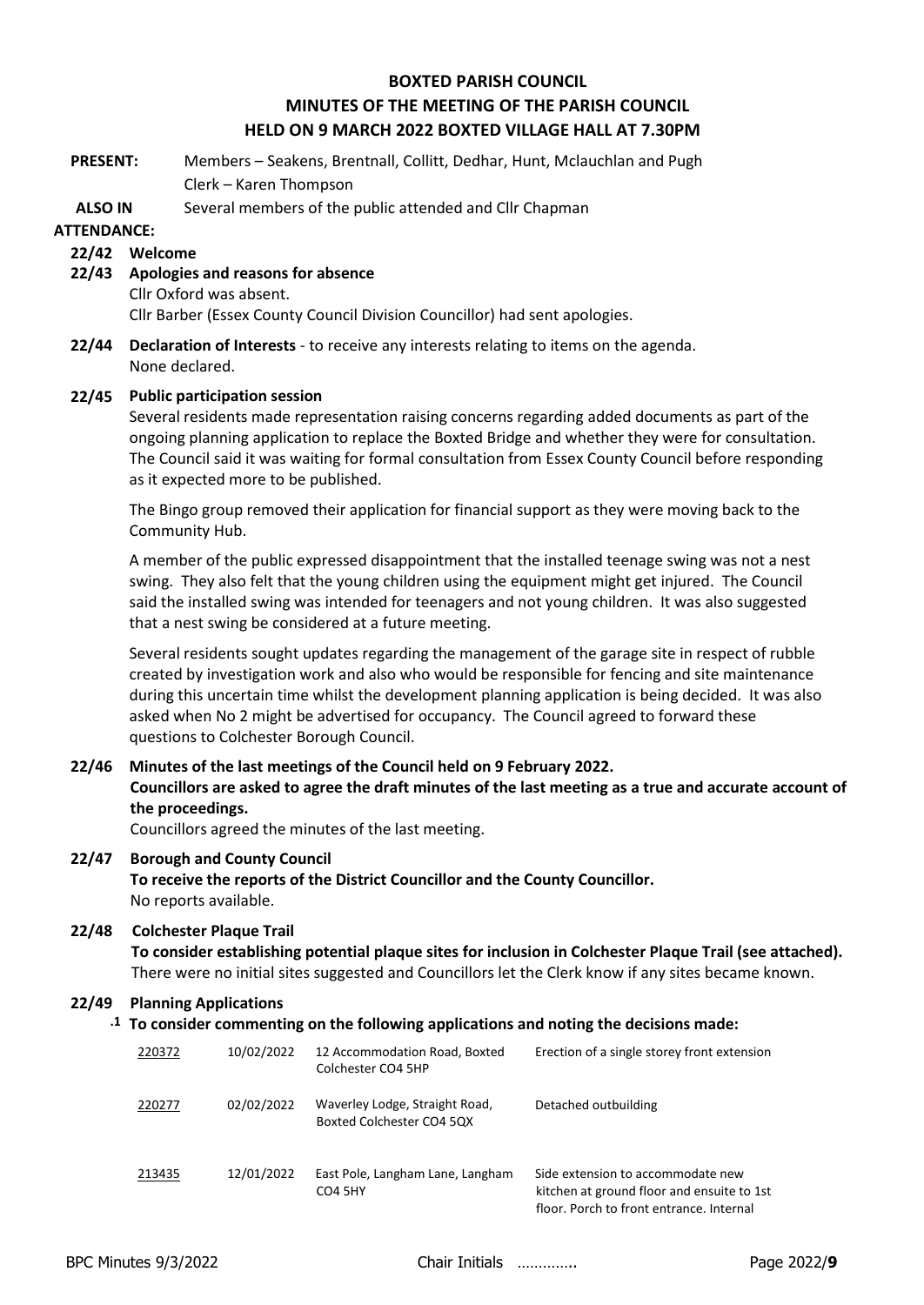## **BOXTED PARISH COUNCIL MINUTES OF THE MEETING OF THE PARISH COUNCIL HELD ON 9 MARCH 2022 BOXTED VILLAGE HALL AT 7.30PM**

**PRESENT:** Members – Seakens, Brentnall, Collitt, Dedhar, Hunt, Mclauchlan and Pugh Clerk – Karen Thompson

**ALSO IN**  Several members of the public attended and Cllr Chapman

### **ATTENDANCE:**

### **22/42 Welcome**

**22/43 Apologies and reasons for absence**

Cllr Oxford was absent.

Cllr Barber (Essex County Council Division Councillor) had sent apologies.

**22/44 Declaration of Interests** - to receive any interests relating to items on the agenda. None declared.

### **22/45 Public participation session**

Several residents made representation raising concerns regarding added documents as part of the ongoing planning application to replace the Boxted Bridge and whether they were for consultation. The Council said it was waiting for formal consultation from Essex County Council before responding as it expected more to be published.

The Bingo group removed their application for financial support as they were moving back to the Community Hub.

A member of the public expressed disappointment that the installed teenage swing was not a nest swing. They also felt that the young children using the equipment might get injured. The Council said the installed swing was intended for teenagers and not young children. It was also suggested that a nest swing be considered at a future meeting.

Several residents sought updates regarding the management of the garage site in respect of rubble created by investigation work and also who would be responsible for fencing and site maintenance during this uncertain time whilst the development planning application is being decided. It was also asked when No 2 might be advertised for occupancy. The Council agreed to forward these questions to Colchester Borough Council.

# **22/46 Minutes of the last meetings of the Council held on 9 February 2022. Councillors are asked to agree the draft minutes of the last meeting as a true and accurate account of the proceedings.**

Councillors agreed the minutes of the last meeting.

### **22/47 Borough and County Council**

**To receive the reports of the District Councillor and the County Councillor.** No reports available.

### **22/48 Colchester Plaque Trail**

**To consider establishing potential plaque sites for inclusion in Colchester Plaque Trail (see attached).** There were no initial sites suggested and Councillors let the Clerk know if any sites became known.

### **22/49 Planning Applications**

### **.1 To consider commenting on the following applications and noting the decisions made:**

| 220372 | 10/02/2022 | 12 Accommodation Road, Boxted<br>Colchester CO4 5HP         | Erection of a single storey front extension                                                                                 |
|--------|------------|-------------------------------------------------------------|-----------------------------------------------------------------------------------------------------------------------------|
| 220277 | 02/02/2022 | Waverley Lodge, Straight Road,<br>Boxted Colchester CO4 5QX | Detached outbuilding                                                                                                        |
| 213435 | 12/01/2022 | East Pole, Langham Lane, Langham<br><b>CO4 5HY</b>          | Side extension to accommodate new<br>kitchen at ground floor and ensuite to 1st<br>floor. Porch to front entrance. Internal |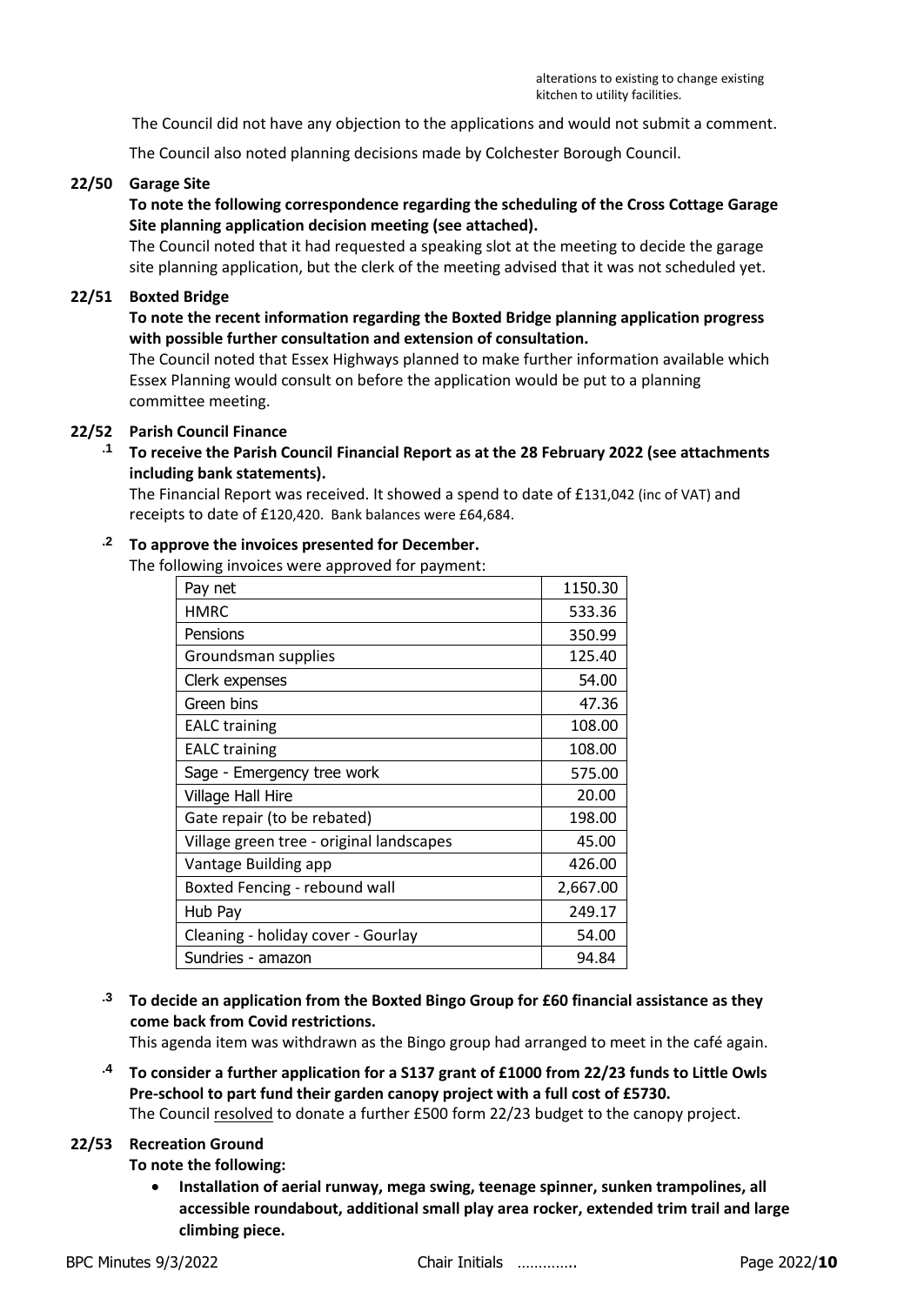The Council did not have any objection to the applications and would not submit a comment.

The Council also noted planning decisions made by Colchester Borough Council.

#### **22/50 Garage Site**

### **To note the following correspondence regarding the scheduling of the Cross Cottage Garage Site planning application decision meeting (see attached).**

The Council noted that it had requested a speaking slot at the meeting to decide the garage site planning application, but the clerk of the meeting advised that it was not scheduled yet.

#### **22/51 Boxted Bridge**

### **To note the recent information regarding the Boxted Bridge planning application progress with possible further consultation and extension of consultation.**

The Council noted that Essex Highways planned to make further information available which Essex Planning would consult on before the application would be put to a planning committee meeting.

### **22/52 Parish Council Finance**

**.1 To receive the Parish Council Financial Report as at the 28 February 2022 (see attachments including bank statements).**

The Financial Report was received. It showed a spend to date of £131,042 (inc of VAT) and receipts to date of £120,420. Bank balances were £64,684.

### **.2 To approve the invoices presented for December.**

The following invoices were approved for payment:

| Pay net                                  | 1150.30  |
|------------------------------------------|----------|
| <b>HMRC</b>                              | 533.36   |
| Pensions                                 | 350.99   |
| Groundsman supplies                      | 125.40   |
| Clerk expenses                           | 54.00    |
| Green bins                               | 47.36    |
| <b>EALC</b> training                     | 108.00   |
| <b>EALC</b> training                     | 108.00   |
| Sage - Emergency tree work               | 575.00   |
| Village Hall Hire                        | 20.00    |
| Gate repair (to be rebated)              | 198.00   |
| Village green tree - original landscapes | 45.00    |
| Vantage Building app                     | 426.00   |
| Boxted Fencing - rebound wall            | 2,667.00 |
| Hub Pay                                  | 249.17   |
| Cleaning - holiday cover - Gourlay       | 54.00    |
| Sundries - amazon                        | 94.84    |

### **.3 To decide an application from the Boxted Bingo Group for £60 financial assistance as they come back from Covid restrictions.**

This agenda item was withdrawn as the Bingo group had arranged to meet in the café again.

**.4 To consider a further application for a S137 grant of £1000 from 22/23 funds to Little Owls Pre-school to part fund their garden canopy project with a full cost of £5730.**

The Council resolved to donate a further £500 form 22/23 budget to the canopy project.

### **22/53 Recreation Ground**

**To note the following:**

• **Installation of aerial runway, mega swing, teenage spinner, sunken trampolines, all accessible roundabout, additional small play area rocker, extended trim trail and large climbing piece.**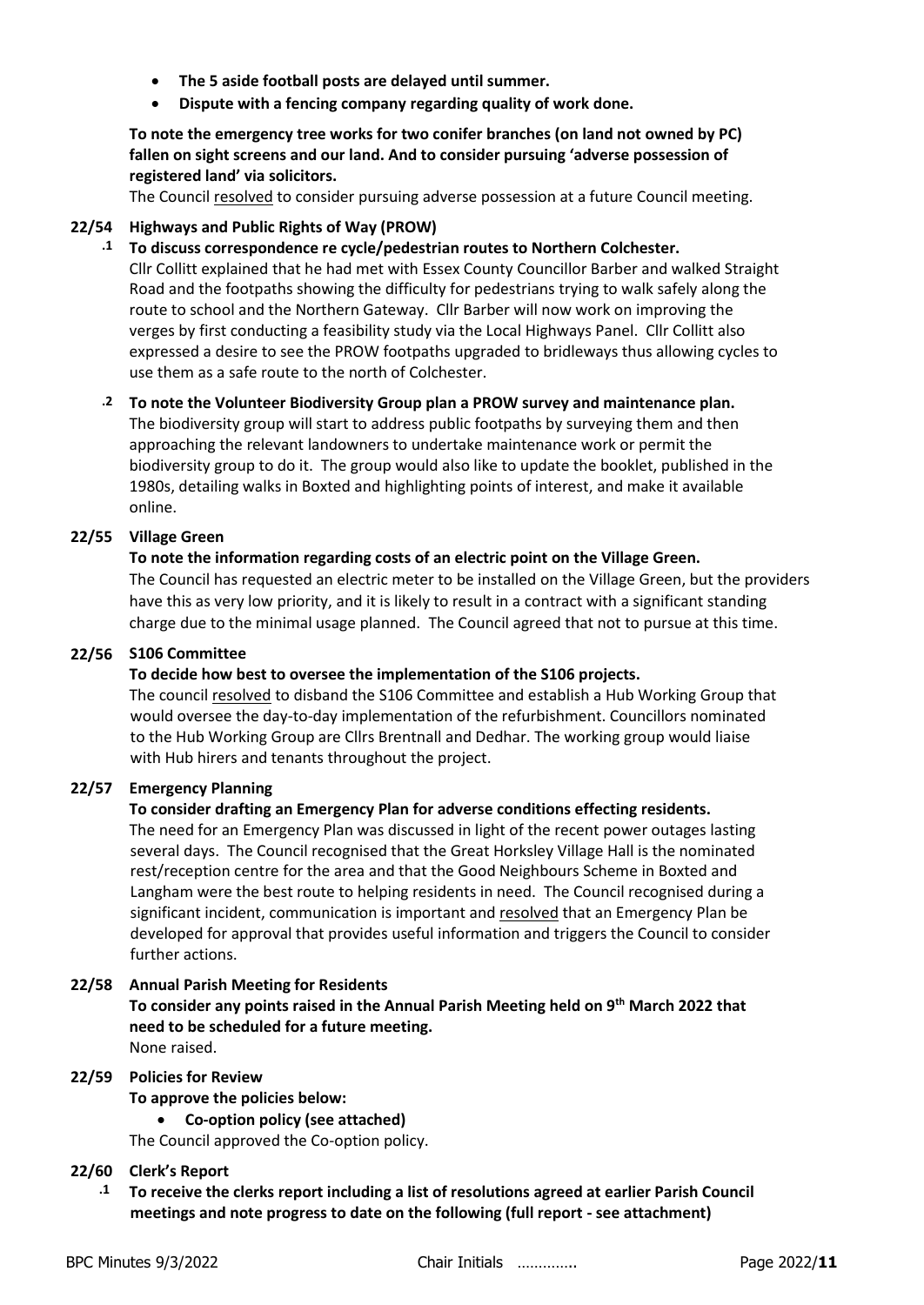- **The 5 aside football posts are delayed until summer.**
- **Dispute with a fencing company regarding quality of work done.**

### **To note the emergency tree works for two conifer branches (on land not owned by PC) fallen on sight screens and our land. And to consider pursuing 'adverse possession of registered land' via solicitors.**

The Council resolved to consider pursuing adverse possession at a future Council meeting.

### **22/54 Highways and Public Rights of Way (PROW)**

**.1 To discuss correspondence re cycle/pedestrian routes to Northern Colchester.**

Cllr Collitt explained that he had met with Essex County Councillor Barber and walked Straight Road and the footpaths showing the difficulty for pedestrians trying to walk safely along the route to school and the Northern Gateway. Cllr Barber will now work on improving the verges by first conducting a feasibility study via the Local Highways Panel. Cllr Collitt also expressed a desire to see the PROW footpaths upgraded to bridleways thus allowing cycles to use them as a safe route to the north of Colchester.

### **.2 To note the Volunteer Biodiversity Group plan a PROW survey and maintenance plan.**

The biodiversity group will start to address public footpaths by surveying them and then approaching the relevant landowners to undertake maintenance work or permit the biodiversity group to do it. The group would also like to update the booklet, published in the 1980s, detailing walks in Boxted and highlighting points of interest, and make it available online.

### **22/55 Village Green**

### **To note the information regarding costs of an electric point on the Village Green.**

The Council has requested an electric meter to be installed on the Village Green, but the providers have this as very low priority, and it is likely to result in a contract with a significant standing charge due to the minimal usage planned. The Council agreed that not to pursue at this time.

### **22/56 S106 Committee**

### **To decide how best to oversee the implementation of the S106 projects.**

The council resolved to disband the S106 Committee and establish a Hub Working Group that would oversee the day-to-day implementation of the refurbishment. Councillors nominated to the Hub Working Group are Cllrs Brentnall and Dedhar. The working group would liaise with Hub hirers and tenants throughout the project.

### **22/57 Emergency Planning**

### **To consider drafting an Emergency Plan for adverse conditions effecting residents.**

The need for an Emergency Plan was discussed in light of the recent power outages lasting several days. The Council recognised that the Great Horksley Village Hall is the nominated rest/reception centre for the area and that the Good Neighbours Scheme in Boxted and Langham were the best route to helping residents in need. The Council recognised during a significant incident, communication is important and resolved that an Emergency Plan be developed for approval that provides useful information and triggers the Council to consider further actions.

### **22/58 Annual Parish Meeting for Residents**

**To consider any points raised in the Annual Parish Meeting held on 9th March 2022 that need to be scheduled for a future meeting.** None raised.

### **22/59 Policies for Review**

**To approve the policies below:**

• **Co-option policy (see attached)**

The Council approved the Co-option policy.

### **22/60 Clerk's Report**

**.1 To receive the clerks report including a list of resolutions agreed at earlier Parish Council meetings and note progress to date on the following (full report - see attachment)**